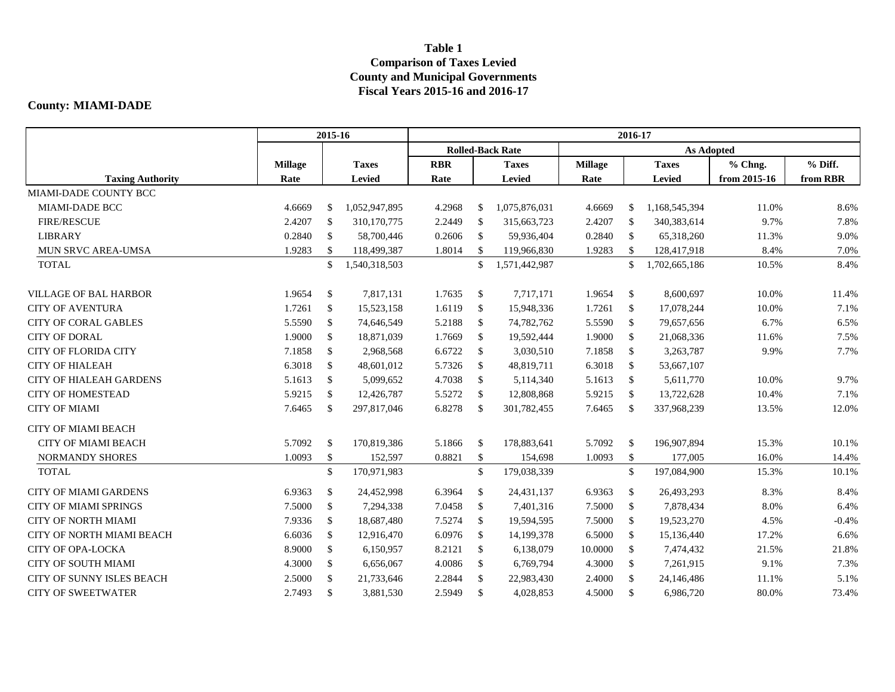## **Table 1 Comparison of Taxes Levied County and Municipal Governments Fiscal Years 2015-16 and 2016-17**

## **County: MIAMI-DADE**

|                                  | 2015-16        |               |               | 2016-17                 |               |               |                |               |               |              |          |  |  |
|----------------------------------|----------------|---------------|---------------|-------------------------|---------------|---------------|----------------|---------------|---------------|--------------|----------|--|--|
|                                  |                |               |               | <b>Rolled-Back Rate</b> |               |               |                |               |               |              |          |  |  |
|                                  | <b>Millage</b> |               | <b>Taxes</b>  | <b>RBR</b>              |               | <b>Taxes</b>  | <b>Millage</b> |               | <b>Taxes</b>  | % Chng.      | % Diff.  |  |  |
| <b>Taxing Authority</b>          | Rate           |               | Levied        | Rate                    |               | Levied        | Rate           |               | Levied        | from 2015-16 | from RBR |  |  |
| MIAMI-DADE COUNTY BCC            |                |               |               |                         |               |               |                |               |               |              |          |  |  |
| MIAMI-DADE BCC                   | 4.6669         | \$            | 1,052,947,895 | 4.2968                  | $\mathbb{S}$  | 1,075,876,031 | 4.6669         | $\mathbb{S}$  | 1,168,545,394 | 11.0%        | 8.6%     |  |  |
| <b>FIRE/RESCUE</b>               | 2.4207         | <sup>\$</sup> | 310,170,775   | 2.2449                  | <sup>\$</sup> | 315,663,723   | 2.4207         | <sup>\$</sup> | 340,383,614   | 9.7%         | 7.8%     |  |  |
| <b>LIBRARY</b>                   | 0.2840         | \$            | 58,700,446    | 0.2606                  | $\mathbb{S}$  | 59,936,404    | 0.2840         | $\mathbb{S}$  | 65,318,260    | 11.3%        | 9.0%     |  |  |
| MUN SRVC AREA-UMSA               | 1.9283         | <sup>\$</sup> | 118,499,387   | 1.8014                  | \$            | 119,966,830   | 1.9283         | <sup>\$</sup> | 128,417,918   | 8.4%         | 7.0%     |  |  |
| <b>TOTAL</b>                     |                | \$            | 1,540,318,503 |                         | \$            | 1,571,442,987 |                | $\mathbb{S}$  | 1,702,665,186 | 10.5%        | 8.4%     |  |  |
| <b>VILLAGE OF BAL HARBOR</b>     | 1.9654         | \$            | 7,817,131     | 1.7635                  | $\mathbb{S}$  | 7,717,171     | 1.9654         | $\mathcal{S}$ | 8,600,697     | 10.0%        | 11.4%    |  |  |
| <b>CITY OF AVENTURA</b>          | 1.7261         | <sup>\$</sup> | 15,523,158    | 1.6119                  | \$            | 15,948,336    | 1.7261         | <sup>\$</sup> | 17,078,244    | 10.0%        | 7.1%     |  |  |
| <b>CITY OF CORAL GABLES</b>      | 5.5590         | \$            | 74,646,549    | 5.2188                  | $\mathbb{S}$  | 74,782,762    | 5.5590         | $\mathbb{S}$  | 79,657,656    | 6.7%         | 6.5%     |  |  |
| <b>CITY OF DORAL</b>             | 1.9000         | \$            | 18,871,039    | 1.7669                  | $\mathbb{S}$  | 19,592,444    | 1.9000         | $\mathbb{S}$  | 21,068,336    | 11.6%        | 7.5%     |  |  |
| <b>CITY OF FLORIDA CITY</b>      | 7.1858         | \$            | 2,968,568     | 6.6722                  | $\mathbb{S}$  | 3,030,510     | 7.1858         | $\mathbb{S}$  | 3,263,787     | 9.9%         | 7.7%     |  |  |
| <b>CITY OF HIALEAH</b>           | 6.3018         | \$            | 48,601,012    | 5.7326                  | $\mathbb{S}$  | 48,819,711    | 6.3018         | -S            | 53,667,107    |              |          |  |  |
| <b>CITY OF HIALEAH GARDENS</b>   | 5.1613         | \$            | 5,099,652     | 4.7038                  | $\mathbb{S}$  | 5,114,340     | 5.1613         | $\mathbb{S}$  | 5,611,770     | 10.0%        | 9.7%     |  |  |
| <b>CITY OF HOMESTEAD</b>         | 5.9215         | <sup>\$</sup> | 12,426,787    | 5.5272                  | <sup>\$</sup> | 12,808,868    | 5.9215         | $\mathcal{S}$ | 13,722,628    | 10.4%        | 7.1%     |  |  |
| <b>CITY OF MIAMI</b>             | 7.6465         | \$            | 297,817,046   | 6.8278                  | \$            | 301,782,455   | 7.6465         | -\$           | 337,968,239   | 13.5%        | 12.0%    |  |  |
| <b>CITY OF MIAMI BEACH</b>       |                |               |               |                         |               |               |                |               |               |              |          |  |  |
| <b>CITY OF MIAMI BEACH</b>       | 5.7092         | $\mathbb{S}$  | 170,819,386   | 5.1866                  | -\$           | 178,883,641   | 5.7092         | $\mathbb{S}$  | 196,907,894   | 15.3%        | 10.1%    |  |  |
| NORMANDY SHORES                  | 1.0093         | $\mathbb{S}$  | 152,597       | 0.8821                  | \$            | 154,698       | 1.0093         | $\mathbb{S}$  | 177,005       | 16.0%        | 14.4%    |  |  |
| <b>TOTAL</b>                     |                | $\mathcal{S}$ | 170,971,983   |                         | \$            | 179,038,339   |                | $\mathbb{S}$  | 197,084,900   | 15.3%        | 10.1%    |  |  |
| <b>CITY OF MIAMI GARDENS</b>     | 6.9363         | \$            | 24,452,998    | 6.3964                  | $\mathbb{S}$  | 24,431,137    | 6.9363         | $\mathbb{S}$  | 26,493,293    | 8.3%         | 8.4%     |  |  |
| <b>CITY OF MIAMI SPRINGS</b>     | 7.5000         | \$            | 7,294,338     | 7.0458                  | $\mathbb{S}$  | 7,401,316     | 7.5000         | $\mathbb{S}$  | 7,878,434     | 8.0%         | 6.4%     |  |  |
| <b>CITY OF NORTH MIAMI</b>       | 7.9336         | \$            | 18,687,480    | 7.5274                  | $\mathbb{S}$  | 19,594,595    | 7.5000         | $\mathbb{S}$  | 19,523,270    | 4.5%         | $-0.4%$  |  |  |
| <b>CITY OF NORTH MIAMI BEACH</b> | 6.6036         | \$            | 12,916,470    | 6.0976                  | $\mathbb{S}$  | 14,199,378    | 6.5000         | $\mathbb{S}$  | 15,136,440    | 17.2%        | 6.6%     |  |  |
| <b>CITY OF OPA-LOCKA</b>         | 8.9000         | \$            | 6,150,957     | 8.2121                  | $\mathbb{S}$  | 6,138,079     | 10.0000        | $\mathbb{S}$  | 7,474,432     | 21.5%        | 21.8%    |  |  |
| <b>CITY OF SOUTH MIAMI</b>       | 4.3000         | $\mathbb{S}$  | 6,656,067     | 4.0086                  | $\mathbb{S}$  | 6,769,794     | 4.3000         | $\mathbb{S}$  | 7,261,915     | 9.1%         | 7.3%     |  |  |
| CITY OF SUNNY ISLES BEACH        | 2.5000         | <sup>\$</sup> | 21,733,646    | 2.2844                  | \$            | 22,983,430    | 2.4000         | $\mathbb{S}$  | 24,146,486    | 11.1%        | 5.1%     |  |  |
| <b>CITY OF SWEETWATER</b>        | 2.7493         | $\mathcal{S}$ | 3,881,530     | 2.5949                  | $\mathbb{S}$  | 4,028,853     | 4.5000         | $\mathcal{S}$ | 6,986,720     | 80.0%        | 73.4%    |  |  |